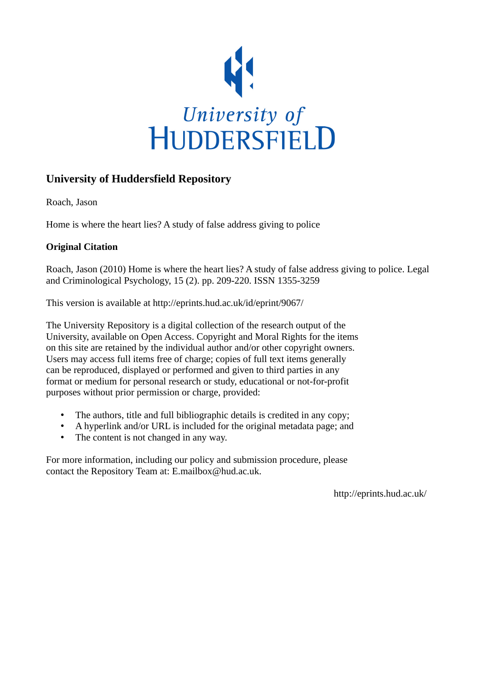

# **University of Huddersfield Repository**

Roach, Jason

Home is where the heart lies? A study of false address giving to police

# **Original Citation**

Roach, Jason (2010) Home is where the heart lies? A study of false address giving to police. Legal and Criminological Psychology, 15 (2). pp. 209-220. ISSN 1355-3259

This version is available at http://eprints.hud.ac.uk/id/eprint/9067/

The University Repository is a digital collection of the research output of the University, available on Open Access. Copyright and Moral Rights for the items on this site are retained by the individual author and/or other copyright owners. Users may access full items free of charge; copies of full text items generally can be reproduced, displayed or performed and given to third parties in any format or medium for personal research or study, educational or not-for-profit purposes without prior permission or charge, provided:

- The authors, title and full bibliographic details is credited in any copy;
- A hyperlink and/or URL is included for the original metadata page; and
- The content is not changed in any way.

For more information, including our policy and submission procedure, please contact the Repository Team at: E.mailbox@hud.ac.uk.

http://eprints.hud.ac.uk/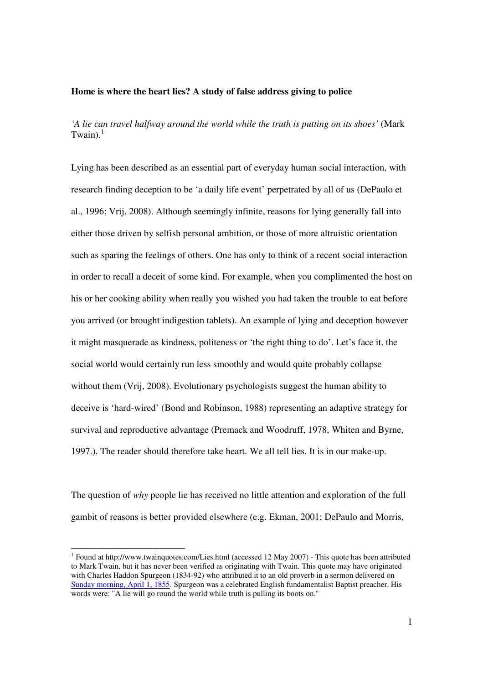#### **Home is where the heart lies? A study of false address giving to police**

*'A lie can travel halfway around the world while the truth is putting on its shoes'* (Mark Twain). $<sup>1</sup>$ </sup>

Lying has been described as an essential part of everyday human social interaction, with research finding deception to be 'a daily life event' perpetrated by all of us (DePaulo et al., 1996; Vrij, 2008). Although seemingly infinite, reasons for lying generally fall into either those driven by selfish personal ambition, or those of more altruistic orientation such as sparing the feelings of others. One has only to think of a recent social interaction in order to recall a deceit of some kind. For example, when you complimented the host on his or her cooking ability when really you wished you had taken the trouble to eat before you arrived (or brought indigestion tablets). An example of lying and deception however it might masquerade as kindness, politeness or 'the right thing to do'. Let's face it, the social world would certainly run less smoothly and would quite probably collapse without them (Vrij, 2008). Evolutionary psychologists suggest the human ability to deceive is 'hard-wired' (Bond and Robinson, 1988) representing an adaptive strategy for survival and reproductive advantage (Premack and Woodruff, 1978, Whiten and Byrne, 1997.). The reader should therefore take heart. We all tell lies. It is in our make-up.

The question of *why* people lie has received no little attention and exploration of the full gambit of reasons is better provided elsewhere (e.g. Ekman, 2001; DePaulo and Morris,

-

<sup>&</sup>lt;sup>1</sup> Found at http://www.twainquotes.com/Lies.html (accessed 12 May 2007) - This quote has been attributed to Mark Twain, but it has never been verified as originating with Twain. This quote may have originated with Charles Haddon Spurgeon (1834-92) who attributed it to an old proverb in a sermon delivered on Sunday morning, April 1, 1855. Spurgeon was a celebrated English fundamentalist Baptist preacher. His words were: "A lie will go round the world while truth is pulling its boots on."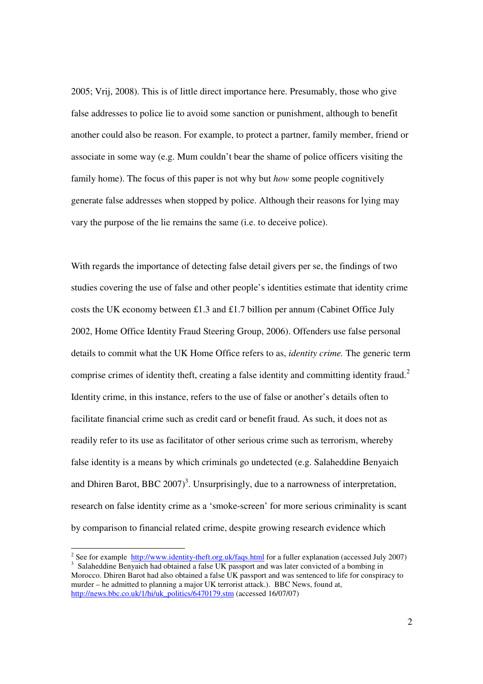2005; Vrij, 2008). This is of little direct importance here. Presumably, those who give false addresses to police lie to avoid some sanction or punishment, although to benefit another could also be reason. For example, to protect a partner, family member, friend or associate in some way (e.g. Mum couldn't bear the shame of police officers visiting the family home). The focus of this paper is not why but *how* some people cognitively generate false addresses when stopped by police. Although their reasons for lying may vary the purpose of the lie remains the same (i.e. to deceive police).

With regards the importance of detecting false detail givers per se, the findings of two studies covering the use of false and other people's identities estimate that identity crime costs the UK economy between £1.3 and £1.7 billion per annum (Cabinet Office July 2002, Home Office Identity Fraud Steering Group, 2006). Offenders use false personal details to commit what the UK Home Office refers to as, *identity crime.* The generic term comprise crimes of identity theft, creating a false identity and committing identity fraud.<sup>2</sup> Identity crime, in this instance, refers to the use of false or another's details often to facilitate financial crime such as credit card or benefit fraud. As such, it does not as readily refer to its use as facilitator of other serious crime such as terrorism, whereby false identity is a means by which criminals go undetected (e.g. Salaheddine Benyaich and Dhiren Barot, BBC  $2007$ <sup>3</sup>. Unsurprisingly, due to a narrowness of interpretation, research on false identity crime as a 'smoke-screen' for more serious criminality is scant by comparison to financial related crime, despite growing research evidence which

<sup>&</sup>lt;u>2</u><br>
<sup>2</sup> See for example http://www.identity-theft.org.uk/faqs.html for a fuller explanation (accessed July 2007) <sup>3</sup> Salaheddine Benyaich had obtained a false UK passport and was later convicted of a bombing in Morocco. Dhiren Barot had also obtained a false UK passport and was sentenced to life for conspiracy to murder – he admitted to planning a major UK terrorist attack.). BBC News, found at, http://news.bbc.co.uk/1/hi/uk\_politics/6470179.stm (accessed 16/07/07)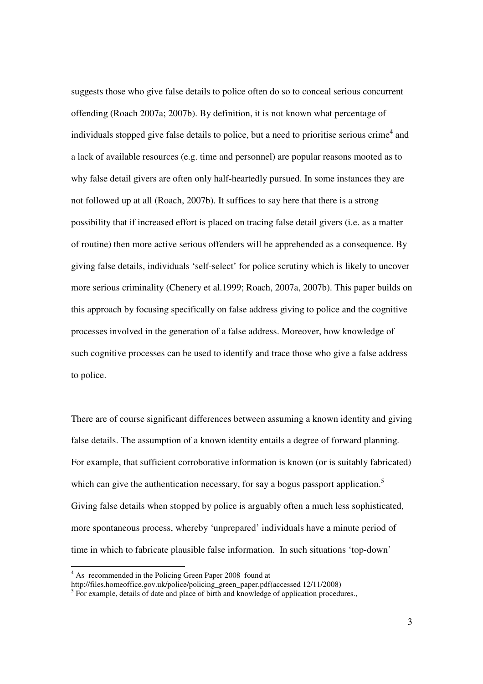suggests those who give false details to police often do so to conceal serious concurrent offending (Roach 2007a; 2007b). By definition, it is not known what percentage of individuals stopped give false details to police, but a need to prioritise serious crime<sup>4</sup> and a lack of available resources (e.g. time and personnel) are popular reasons mooted as to why false detail givers are often only half-heartedly pursued. In some instances they are not followed up at all (Roach, 2007b). It suffices to say here that there is a strong possibility that if increased effort is placed on tracing false detail givers (i.e. as a matter of routine) then more active serious offenders will be apprehended as a consequence. By giving false details, individuals 'self-select' for police scrutiny which is likely to uncover more serious criminality (Chenery et al.1999; Roach, 2007a, 2007b). This paper builds on this approach by focusing specifically on false address giving to police and the cognitive processes involved in the generation of a false address. Moreover, how knowledge of such cognitive processes can be used to identify and trace those who give a false address to police.

There are of course significant differences between assuming a known identity and giving false details. The assumption of a known identity entails a degree of forward planning. For example, that sufficient corroborative information is known (or is suitably fabricated) which can give the authentication necessary, for say a bogus passport application.<sup>5</sup> Giving false details when stopped by police is arguably often a much less sophisticated, more spontaneous process, whereby 'unprepared' individuals have a minute period of time in which to fabricate plausible false information. In such situations 'top-down'

 4 As recommended in the Policing Green Paper 2008 found at

http://files.homeoffice.gov.uk/police/policing\_green\_paper.pdf(accessed 12/11/2008)

<sup>&</sup>lt;sup>5</sup> For example, details of date and place of birth and knowledge of application procedures.,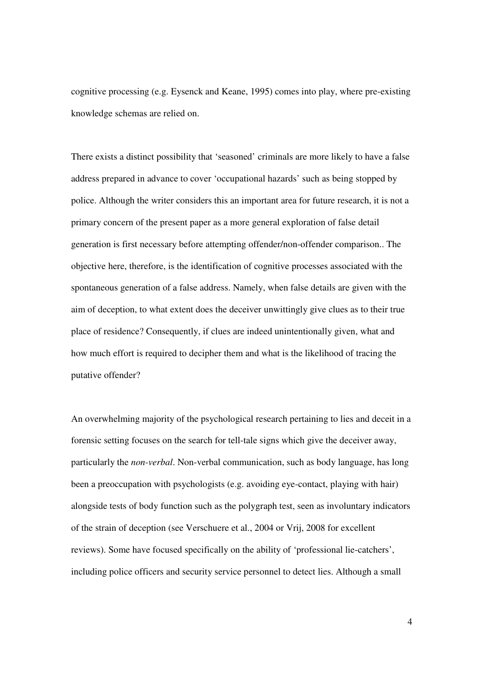cognitive processing (e.g. Eysenck and Keane, 1995) comes into play, where pre-existing knowledge schemas are relied on.

There exists a distinct possibility that 'seasoned' criminals are more likely to have a false address prepared in advance to cover 'occupational hazards' such as being stopped by police. Although the writer considers this an important area for future research, it is not a primary concern of the present paper as a more general exploration of false detail generation is first necessary before attempting offender/non-offender comparison.. The objective here, therefore, is the identification of cognitive processes associated with the spontaneous generation of a false address. Namely, when false details are given with the aim of deception, to what extent does the deceiver unwittingly give clues as to their true place of residence? Consequently, if clues are indeed unintentionally given, what and how much effort is required to decipher them and what is the likelihood of tracing the putative offender?

An overwhelming majority of the psychological research pertaining to lies and deceit in a forensic setting focuses on the search for tell-tale signs which give the deceiver away, particularly the *non-verbal*. Non-verbal communication, such as body language, has long been a preoccupation with psychologists (e.g. avoiding eye-contact, playing with hair) alongside tests of body function such as the polygraph test, seen as involuntary indicators of the strain of deception (see Verschuere et al., 2004 or Vrij, 2008 for excellent reviews). Some have focused specifically on the ability of 'professional lie-catchers', including police officers and security service personnel to detect lies. Although a small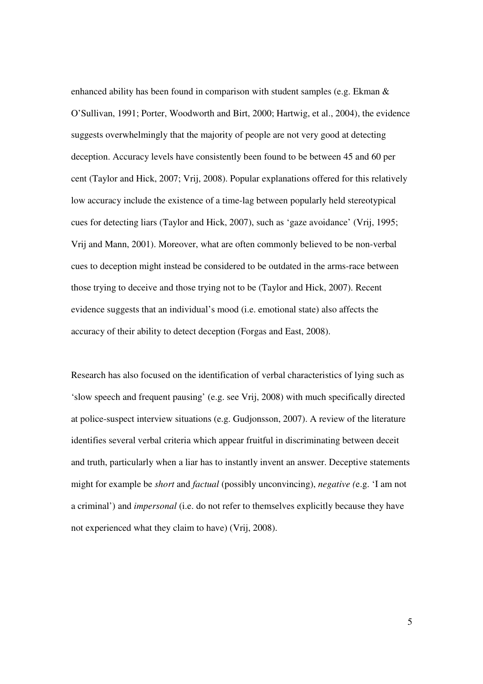enhanced ability has been found in comparison with student samples (e.g. Ekman & O'Sullivan, 1991; Porter, Woodworth and Birt, 2000; Hartwig, et al., 2004), the evidence suggests overwhelmingly that the majority of people are not very good at detecting deception. Accuracy levels have consistently been found to be between 45 and 60 per cent (Taylor and Hick, 2007; Vrij, 2008). Popular explanations offered for this relatively low accuracy include the existence of a time-lag between popularly held stereotypical cues for detecting liars (Taylor and Hick, 2007), such as 'gaze avoidance' (Vrij, 1995; Vrij and Mann, 2001). Moreover, what are often commonly believed to be non-verbal cues to deception might instead be considered to be outdated in the arms-race between those trying to deceive and those trying not to be (Taylor and Hick, 2007). Recent evidence suggests that an individual's mood (i.e. emotional state) also affects the accuracy of their ability to detect deception (Forgas and East, 2008).

Research has also focused on the identification of verbal characteristics of lying such as 'slow speech and frequent pausing' (e.g. see Vrij, 2008) with much specifically directed at police-suspect interview situations (e.g. Gudjonsson, 2007). A review of the literature identifies several verbal criteria which appear fruitful in discriminating between deceit and truth, particularly when a liar has to instantly invent an answer. Deceptive statements might for example be *short* and *factual* (possibly unconvincing), *negative (*e.g. 'I am not a criminal') and *impersonal* (i.e. do not refer to themselves explicitly because they have not experienced what they claim to have) (Vrij, 2008).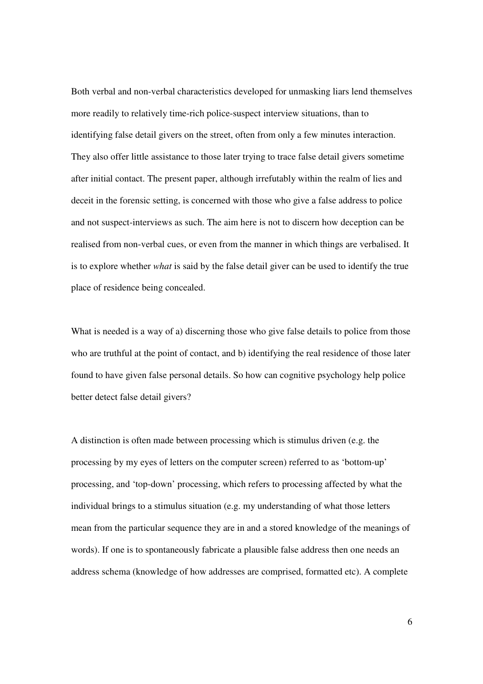Both verbal and non-verbal characteristics developed for unmasking liars lend themselves more readily to relatively time-rich police-suspect interview situations, than to identifying false detail givers on the street, often from only a few minutes interaction. They also offer little assistance to those later trying to trace false detail givers sometime after initial contact. The present paper, although irrefutably within the realm of lies and deceit in the forensic setting, is concerned with those who give a false address to police and not suspect-interviews as such. The aim here is not to discern how deception can be realised from non-verbal cues, or even from the manner in which things are verbalised. It is to explore whether *what* is said by the false detail giver can be used to identify the true place of residence being concealed.

What is needed is a way of a) discerning those who give false details to police from those who are truthful at the point of contact, and b) identifying the real residence of those later found to have given false personal details. So how can cognitive psychology help police better detect false detail givers?

A distinction is often made between processing which is stimulus driven (e.g. the processing by my eyes of letters on the computer screen) referred to as 'bottom-up' processing, and 'top-down' processing, which refers to processing affected by what the individual brings to a stimulus situation (e.g. my understanding of what those letters mean from the particular sequence they are in and a stored knowledge of the meanings of words). If one is to spontaneously fabricate a plausible false address then one needs an address schema (knowledge of how addresses are comprised, formatted etc). A complete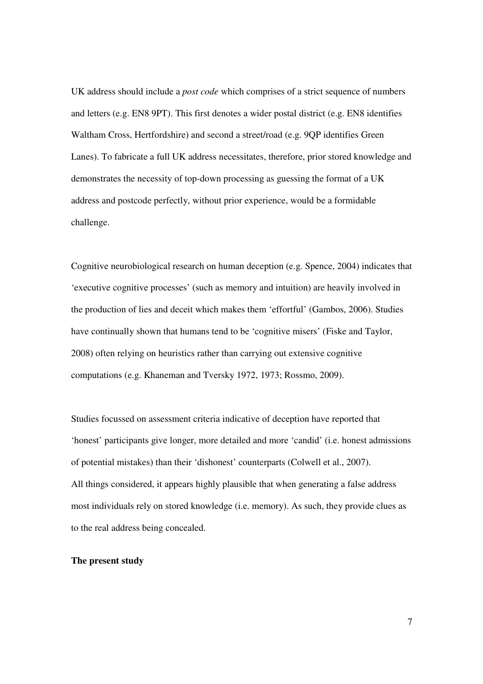UK address should include a *post code* which comprises of a strict sequence of numbers and letters (e.g. EN8 9PT). This first denotes a wider postal district (e.g. EN8 identifies Waltham Cross, Hertfordshire) and second a street/road (e.g. 9QP identifies Green Lanes). To fabricate a full UK address necessitates, therefore, prior stored knowledge and demonstrates the necessity of top-down processing as guessing the format of a UK address and postcode perfectly, without prior experience, would be a formidable challenge.

Cognitive neurobiological research on human deception (e.g. Spence, 2004) indicates that 'executive cognitive processes' (such as memory and intuition) are heavily involved in the production of lies and deceit which makes them 'effortful' (Gambos, 2006). Studies have continually shown that humans tend to be 'cognitive misers' (Fiske and Taylor, 2008) often relying on heuristics rather than carrying out extensive cognitive computations (e.g. Khaneman and Tversky 1972, 1973; Rossmo, 2009).

Studies focussed on assessment criteria indicative of deception have reported that 'honest' participants give longer, more detailed and more 'candid' (i.e. honest admissions of potential mistakes) than their 'dishonest' counterparts (Colwell et al., 2007). All things considered, it appears highly plausible that when generating a false address most individuals rely on stored knowledge (i.e. memory). As such, they provide clues as to the real address being concealed.

#### **The present study**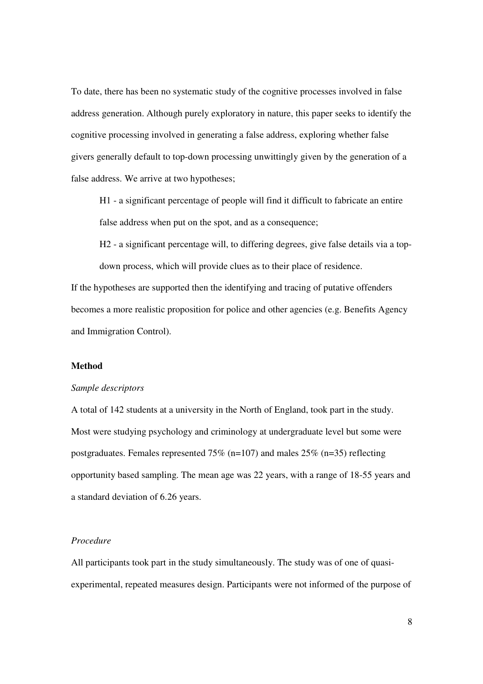To date, there has been no systematic study of the cognitive processes involved in false address generation. Although purely exploratory in nature, this paper seeks to identify the cognitive processing involved in generating a false address, exploring whether false givers generally default to top-down processing unwittingly given by the generation of a false address. We arrive at two hypotheses;

H1 - a significant percentage of people will find it difficult to fabricate an entire false address when put on the spot, and as a consequence;

H2 - a significant percentage will, to differing degrees, give false details via a topdown process, which will provide clues as to their place of residence.

If the hypotheses are supported then the identifying and tracing of putative offenders becomes a more realistic proposition for police and other agencies (e.g. Benefits Agency and Immigration Control).

#### **Method**

#### *Sample descriptors*

A total of 142 students at a university in the North of England, took part in the study. Most were studying psychology and criminology at undergraduate level but some were postgraduates. Females represented 75% (n=107) and males 25% (n=35) reflecting opportunity based sampling. The mean age was 22 years, with a range of 18-55 years and a standard deviation of 6.26 years.

#### *Procedure*

All participants took part in the study simultaneously. The study was of one of quasiexperimental, repeated measures design. Participants were not informed of the purpose of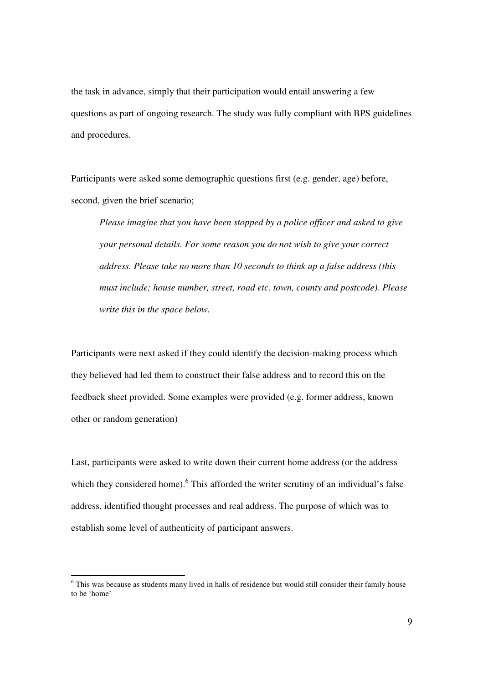the task in advance, simply that their participation would entail answering a few questions as part of ongoing research. The study was fully compliant with BPS guidelines and procedures.

Participants were asked some demographic questions first (e.g. gender, age) before, second, given the brief scenario;

*Please imagine that you have been stopped by a police officer and asked to give your personal details. For some reason you do not wish to give your correct address. Please take no more than 10 seconds to think up a false address (this must include; house number, street, road etc. town, county and postcode). Please write this in the space below.* 

Participants were next asked if they could identify the decision-making process which they believed had led them to construct their false address and to record this on the feedback sheet provided. Some examples were provided (e.g. former address, known other or random generation)

Last, participants were asked to write down their current home address (or the address which they considered home). <sup>6</sup> This afforded the writer scrutiny of an individual's false address, identified thought processes and real address. The purpose of which was to establish some level of authenticity of participant answers.

-

<sup>&</sup>lt;sup>6</sup> This was because as students many lived in halls of residence but would still consider their family house to be 'home'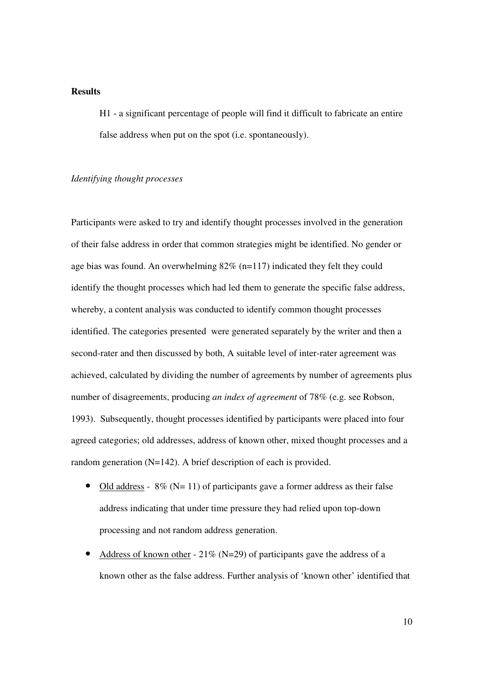### **Results**

H1 - a significant percentage of people will find it difficult to fabricate an entire false address when put on the spot (i.e. spontaneously).

### *Identifying thought processes*

Participants were asked to try and identify thought processes involved in the generation of their false address in order that common strategies might be identified. No gender or age bias was found. An overwhelming  $82\%$  (n=117) indicated they felt they could identify the thought processes which had led them to generate the specific false address, whereby, a content analysis was conducted to identify common thought processes identified. The categories presented were generated separately by the writer and then a second-rater and then discussed by both, A suitable level of inter-rater agreement was achieved, calculated by dividing the number of agreements by number of agreements plus number of disagreements, producing *an index of agreement* of 78% (e.g. see Robson, 1993). Subsequently, thought processes identified by participants were placed into four agreed categories; old addresses, address of known other, mixed thought processes and a random generation (N=142). A brief description of each is provided.

- Old address  $8\%$  (N= 11) of participants gave a former address as their false address indicating that under time pressure they had relied upon top-down processing and not random address generation.
- Address of known other  $21\%$  (N=29) of participants gave the address of a known other as the false address. Further analysis of 'known other' identified that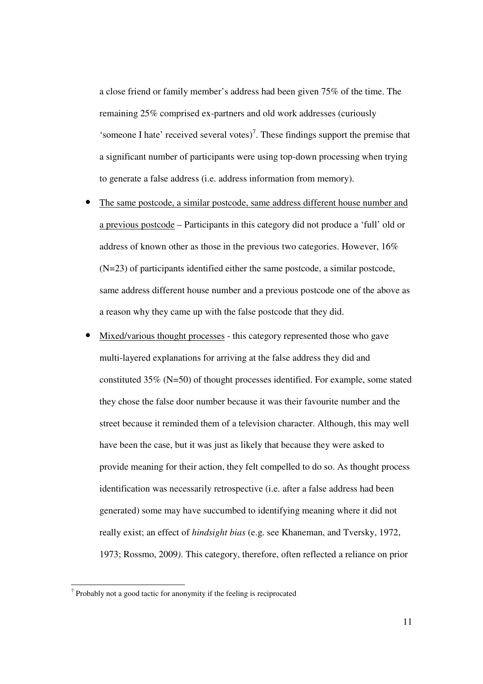a close friend or family member's address had been given 75% of the time. The remaining 25% comprised ex-partners and old work addresses (curiously 'someone I hate' received several votes)<sup>7</sup>. These findings support the premise that a significant number of participants were using top-down processing when trying to generate a false address (i.e. address information from memory).

- The same postcode, a similar postcode, same address different house number and a previous postcode – Participants in this category did not produce a 'full' old or address of known other as those in the previous two categories. However, 16% (N=23) of participants identified either the same postcode, a similar postcode, same address different house number and a previous postcode one of the above as a reason why they came up with the false postcode that they did.
- Mixed/various thought processes this category represented those who gave multi-layered explanations for arriving at the false address they did and constituted 35% (N=50) of thought processes identified. For example, some stated they chose the false door number because it was their favourite number and the street because it reminded them of a television character. Although, this may well have been the case, but it was just as likely that because they were asked to provide meaning for their action, they felt compelled to do so. As thought process identification was necessarily retrospective (i.e. after a false address had been generated) some may have succumbed to identifying meaning where it did not really exist; an effect of *hindsight bias* (e.g. see Khaneman, and Tversky, 1972, 1973; Rossmo, 2009*)*. This category, therefore, often reflected a reliance on prior

The *T* Probably not a good tactic for anonymity if the feeling is reciprocated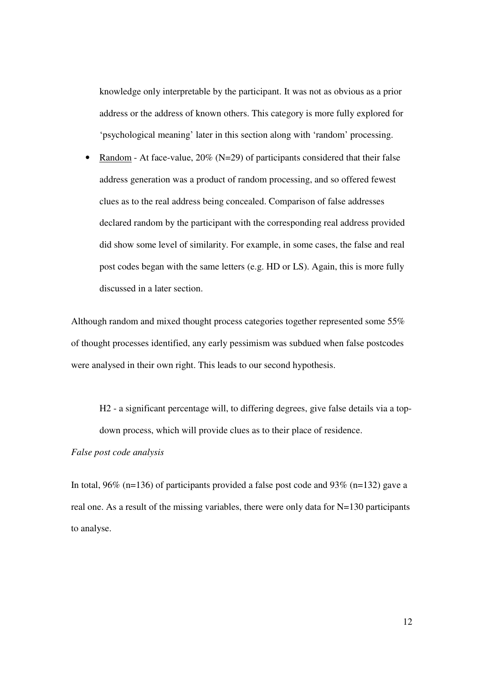knowledge only interpretable by the participant. It was not as obvious as a prior address or the address of known others. This category is more fully explored for 'psychological meaning' later in this section along with 'random' processing.

• Random - At face-value,  $20\%$  (N=29) of participants considered that their false address generation was a product of random processing, and so offered fewest clues as to the real address being concealed. Comparison of false addresses declared random by the participant with the corresponding real address provided did show some level of similarity. For example, in some cases, the false and real post codes began with the same letters (e.g. HD or LS). Again, this is more fully discussed in a later section.

Although random and mixed thought process categories together represented some 55% of thought processes identified, any early pessimism was subdued when false postcodes were analysed in their own right. This leads to our second hypothesis.

H2 - a significant percentage will, to differing degrees, give false details via a topdown process, which will provide clues as to their place of residence.

# *False post code analysis*

In total, 96% (n=136) of participants provided a false post code and 93% (n=132) gave a real one. As a result of the missing variables, there were only data for N=130 participants to analyse.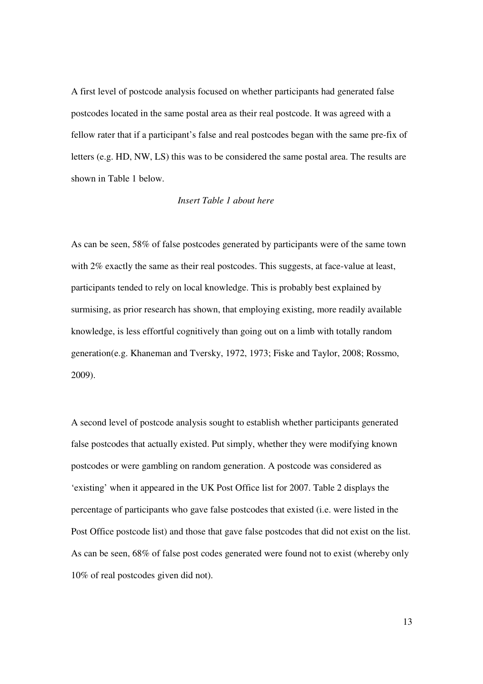A first level of postcode analysis focused on whether participants had generated false postcodes located in the same postal area as their real postcode. It was agreed with a fellow rater that if a participant's false and real postcodes began with the same pre-fix of letters (e.g. HD, NW, LS) this was to be considered the same postal area. The results are shown in Table 1 below.

#### *Insert Table 1 about here*

As can be seen, 58% of false postcodes generated by participants were of the same town with 2% exactly the same as their real postcodes. This suggests, at face-value at least, participants tended to rely on local knowledge. This is probably best explained by surmising, as prior research has shown, that employing existing, more readily available knowledge, is less effortful cognitively than going out on a limb with totally random generation(e.g. Khaneman and Tversky, 1972, 1973; Fiske and Taylor, 2008; Rossmo, 2009).

A second level of postcode analysis sought to establish whether participants generated false postcodes that actually existed. Put simply, whether they were modifying known postcodes or were gambling on random generation. A postcode was considered as 'existing' when it appeared in the UK Post Office list for 2007. Table 2 displays the percentage of participants who gave false postcodes that existed (i.e. were listed in the Post Office postcode list) and those that gave false postcodes that did not exist on the list. As can be seen, 68% of false post codes generated were found not to exist (whereby only 10% of real postcodes given did not).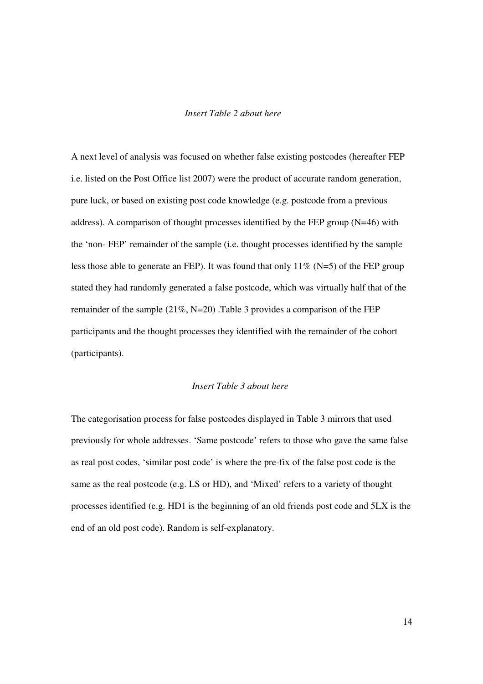### *Insert Table 2 about here*

A next level of analysis was focused on whether false existing postcodes (hereafter FEP i.e. listed on the Post Office list 2007) were the product of accurate random generation, pure luck, or based on existing post code knowledge (e.g. postcode from a previous address). A comparison of thought processes identified by the FEP group (N=46) with the 'non- FEP' remainder of the sample (i.e. thought processes identified by the sample less those able to generate an FEP). It was found that only  $11\%$  (N=5) of the FEP group stated they had randomly generated a false postcode, which was virtually half that of the remainder of the sample (21%, N=20) .Table 3 provides a comparison of the FEP participants and the thought processes they identified with the remainder of the cohort (participants).

#### *Insert Table 3 about here*

The categorisation process for false postcodes displayed in Table 3 mirrors that used previously for whole addresses. 'Same postcode' refers to those who gave the same false as real post codes, 'similar post code' is where the pre-fix of the false post code is the same as the real postcode (e.g. LS or HD), and 'Mixed' refers to a variety of thought processes identified (e.g. HD1 is the beginning of an old friends post code and 5LX is the end of an old post code). Random is self-explanatory.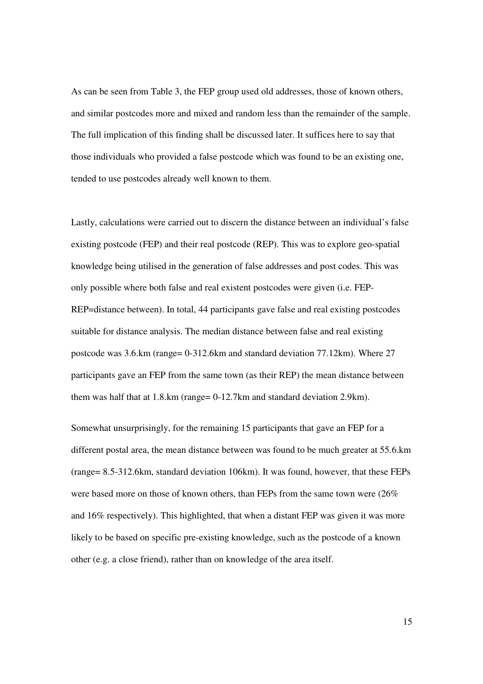As can be seen from Table 3, the FEP group used old addresses, those of known others, and similar postcodes more and mixed and random less than the remainder of the sample. The full implication of this finding shall be discussed later. It suffices here to say that those individuals who provided a false postcode which was found to be an existing one, tended to use postcodes already well known to them.

Lastly, calculations were carried out to discern the distance between an individual's false existing postcode (FEP) and their real postcode (REP). This was to explore geo-spatial knowledge being utilised in the generation of false addresses and post codes. This was only possible where both false and real existent postcodes were given (i.e. FEP-REP=distance between). In total, 44 participants gave false and real existing postcodes suitable for distance analysis. The median distance between false and real existing postcode was 3.6.km (range= 0-312.6km and standard deviation 77.12km). Where 27 participants gave an FEP from the same town (as their REP) the mean distance between them was half that at 1.8.km (range= 0-12.7km and standard deviation 2.9km).

Somewhat unsurprisingly, for the remaining 15 participants that gave an FEP for a different postal area, the mean distance between was found to be much greater at 55.6.km (range= 8.5-312.6km, standard deviation 106km). It was found, however, that these FEPs were based more on those of known others, than FEPs from the same town were  $(26\%$ and 16% respectively). This highlighted, that when a distant FEP was given it was more likely to be based on specific pre-existing knowledge, such as the postcode of a known other (e.g. a close friend), rather than on knowledge of the area itself.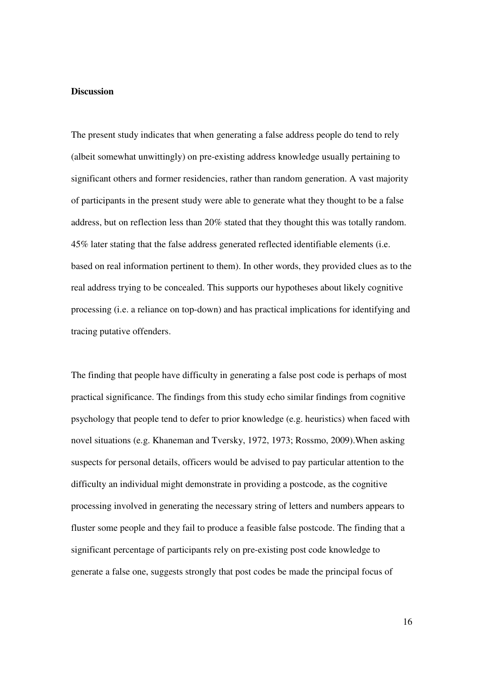#### **Discussion**

The present study indicates that when generating a false address people do tend to rely (albeit somewhat unwittingly) on pre-existing address knowledge usually pertaining to significant others and former residencies, rather than random generation. A vast majority of participants in the present study were able to generate what they thought to be a false address, but on reflection less than 20% stated that they thought this was totally random. 45% later stating that the false address generated reflected identifiable elements (i.e. based on real information pertinent to them). In other words, they provided clues as to the real address trying to be concealed. This supports our hypotheses about likely cognitive processing (i.e. a reliance on top-down) and has practical implications for identifying and tracing putative offenders.

The finding that people have difficulty in generating a false post code is perhaps of most practical significance. The findings from this study echo similar findings from cognitive psychology that people tend to defer to prior knowledge (e.g. heuristics) when faced with novel situations (e.g. Khaneman and Tversky, 1972, 1973; Rossmo, 2009).When asking suspects for personal details, officers would be advised to pay particular attention to the difficulty an individual might demonstrate in providing a postcode, as the cognitive processing involved in generating the necessary string of letters and numbers appears to fluster some people and they fail to produce a feasible false postcode. The finding that a significant percentage of participants rely on pre-existing post code knowledge to generate a false one, suggests strongly that post codes be made the principal focus of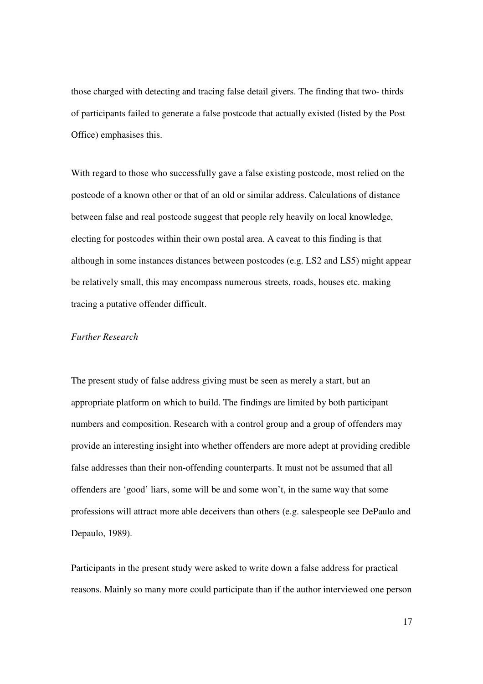those charged with detecting and tracing false detail givers. The finding that two- thirds of participants failed to generate a false postcode that actually existed (listed by the Post Office) emphasises this.

With regard to those who successfully gave a false existing postcode, most relied on the postcode of a known other or that of an old or similar address. Calculations of distance between false and real postcode suggest that people rely heavily on local knowledge, electing for postcodes within their own postal area. A caveat to this finding is that although in some instances distances between postcodes (e.g. LS2 and LS5) might appear be relatively small, this may encompass numerous streets, roads, houses etc. making tracing a putative offender difficult.

### *Further Research*

The present study of false address giving must be seen as merely a start, but an appropriate platform on which to build. The findings are limited by both participant numbers and composition. Research with a control group and a group of offenders may provide an interesting insight into whether offenders are more adept at providing credible false addresses than their non-offending counterparts. It must not be assumed that all offenders are 'good' liars, some will be and some won't, in the same way that some professions will attract more able deceivers than others (e.g. salespeople see DePaulo and Depaulo, 1989).

Participants in the present study were asked to write down a false address for practical reasons. Mainly so many more could participate than if the author interviewed one person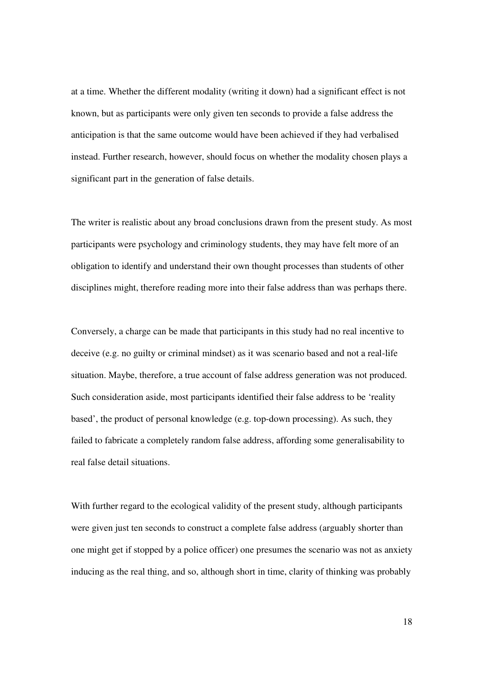at a time. Whether the different modality (writing it down) had a significant effect is not known, but as participants were only given ten seconds to provide a false address the anticipation is that the same outcome would have been achieved if they had verbalised instead. Further research, however, should focus on whether the modality chosen plays a significant part in the generation of false details.

The writer is realistic about any broad conclusions drawn from the present study. As most participants were psychology and criminology students, they may have felt more of an obligation to identify and understand their own thought processes than students of other disciplines might, therefore reading more into their false address than was perhaps there.

Conversely, a charge can be made that participants in this study had no real incentive to deceive (e.g. no guilty or criminal mindset) as it was scenario based and not a real-life situation. Maybe, therefore, a true account of false address generation was not produced. Such consideration aside, most participants identified their false address to be 'reality based', the product of personal knowledge (e.g. top-down processing). As such, they failed to fabricate a completely random false address, affording some generalisability to real false detail situations.

With further regard to the ecological validity of the present study, although participants were given just ten seconds to construct a complete false address (arguably shorter than one might get if stopped by a police officer) one presumes the scenario was not as anxiety inducing as the real thing, and so, although short in time, clarity of thinking was probably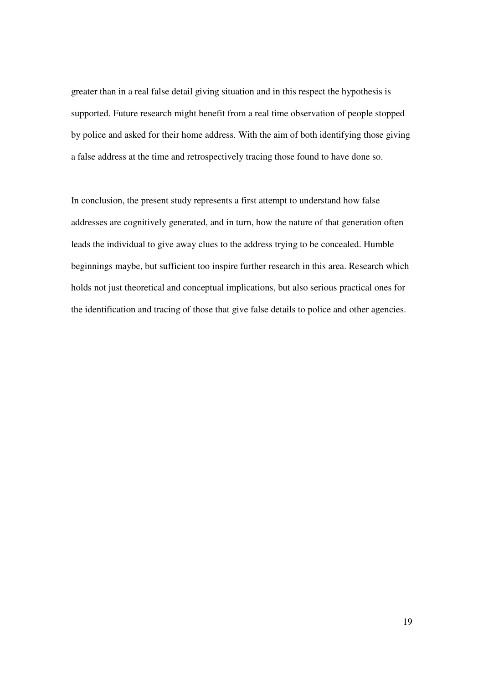greater than in a real false detail giving situation and in this respect the hypothesis is supported. Future research might benefit from a real time observation of people stopped by police and asked for their home address. With the aim of both identifying those giving a false address at the time and retrospectively tracing those found to have done so.

In conclusion, the present study represents a first attempt to understand how false addresses are cognitively generated, and in turn, how the nature of that generation often leads the individual to give away clues to the address trying to be concealed. Humble beginnings maybe, but sufficient too inspire further research in this area. Research which holds not just theoretical and conceptual implications, but also serious practical ones for the identification and tracing of those that give false details to police and other agencies.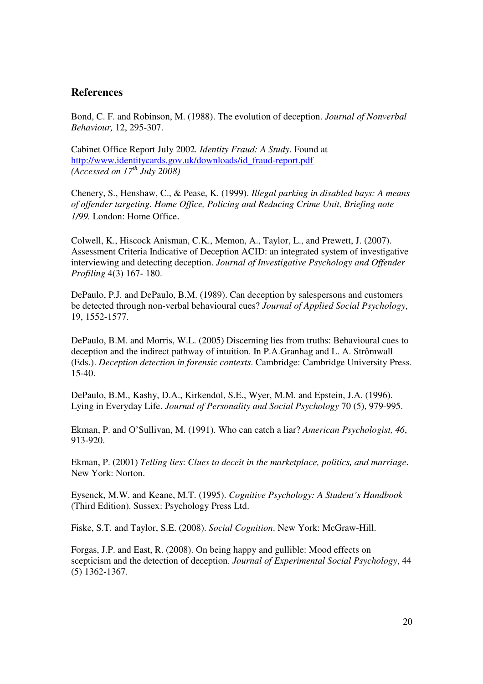# **References**

Bond, C. F. and Robinson, M. (1988). The evolution of deception. *Journal of Nonverbal Behaviour,* 12, 295-307.

Cabinet Office Report July 2002*. Identity Fraud: A Study*. Found at http://www.identitycards.gov.uk/downloads/id\_fraud-report.pdf *(Accessed on 17th July 2008)*

Chenery, S., Henshaw, C., & Pease, K. (1999). *Illegal parking in disabled bays: A means of offender targeting. Home Office, Policing and Reducing Crime Unit, Briefing note 1/99.* London: Home Office.

Colwell, K., Hiscock Anisman, C.K., Memon, A., Taylor, L., and Prewett, J. (2007). Assessment Criteria Indicative of Deception ACID: an integrated system of investigative interviewing and detecting deception. *Journal of Investigative Psychology and Offender Profiling* 4(3) 167- 180.

DePaulo, P.J. and DePaulo, B.M. (1989). Can deception by salespersons and customers be detected through non-verbal behavioural cues? *Journal of Applied Social Psychology*, 19, 1552-1577.

DePaulo, B.M. and Morris, W.L. (2005) Discerning lies from truths: Behavioural cues to deception and the indirect pathway of intuition. In P.A.Granhag and L. A. Strőmwall (Eds.). *Deception detection in forensic contexts*. Cambridge: Cambridge University Press. 15-40.

DePaulo, B.M., Kashy, D.A., Kirkendol, S.E., Wyer, M.M. and Epstein, J.A. (1996). Lying in Everyday Life. *Journal of Personality and Social Psychology* 70 (5), 979-995.

Ekman, P. and O'Sullivan, M. (1991). Who can catch a liar? *American Psychologist, 46*, 913-920.

Ekman, P. (2001) *Telling lies*: *Clues to deceit in the marketplace, politics, and marriage*. New York: Norton.

Eysenck, M.W. and Keane, M.T. (1995). *Cognitive Psychology: A Student's Handbook* (Third Edition). Sussex: Psychology Press Ltd.

Fiske, S.T. and Taylor, S.E. (2008). *Social Cognition*. New York: McGraw-Hill.

Forgas, J.P. and East, R. (2008). On being happy and gullible: Mood effects on scepticism and the detection of deception. *Journal of Experimental Social Psychology*, 44 (5) 1362-1367.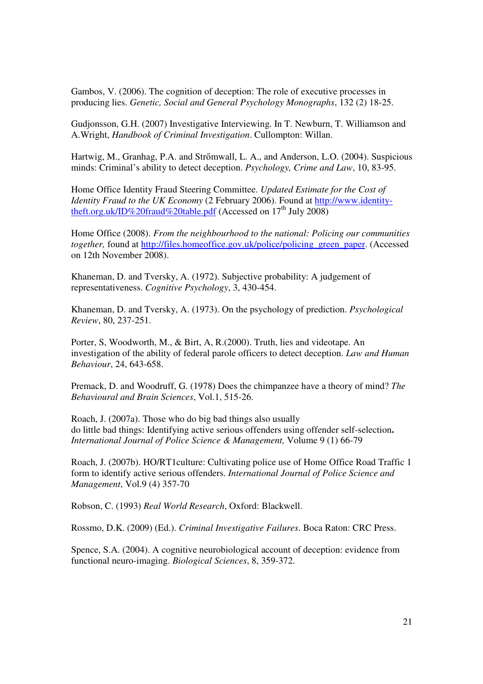Gambos, V. (2006). The cognition of deception: The role of executive processes in producing lies. *Genetic, Social and General Psychology Monographs*, 132 (2) 18-25.

Gudjonsson, G.H. (2007) Investigative Interviewing. In T. Newburn, T. Williamson and A.Wright, *Handbook of Criminal Investigation*. Cullompton: Willan.

Hartwig, M., Granhag, P.A. and Strőmwall, L. A., and Anderson, L.O. (2004). Suspicious minds: Criminal's ability to detect deception. *Psychology, Crime and Law*, 10, 83-95.

Home Office Identity Fraud Steering Committee. *Updated Estimate for the Cost of Identity Fraud to the UK Economy* (2 February 2006). Found at http://www.identitytheft.org.uk/ID%20fraud%20table.pdf (Accessed on  $17<sup>th</sup>$  July 2008)

Home Office (2008). *From the neighbourhood to the national: Policing our communities together,* found at http://files.homeoffice.gov.uk/police/policing\_green\_paper. (Accessed on 12th November 2008).

Khaneman, D. and Tversky, A. (1972). Subjective probability: A judgement of representativeness. *Cognitive Psychology*, 3, 430-454.

Khaneman, D. and Tversky, A. (1973). On the psychology of prediction. *Psychological Review*, 80, 237-251.

Porter, S, Woodworth, M., & Birt, A, R.(2000). Truth, lies and videotape. An investigation of the ability of federal parole officers to detect deception. *Law and Human Behaviour*, 24, 643-658.

Premack, D. and Woodruff, G. (1978) Does the chimpanzee have a theory of mind? *The Behavioural and Brain Sciences*, Vol.1, 515-26.

Roach, J. (2007a). Those who do big bad things also usually do little bad things: Identifying active serious offenders using offender self-selection**.**  *International Journal of Police Science & Management,* Volume 9 (1) 66-79

Roach, J. (2007b). HO/RT1culture: Cultivating police use of Home Office Road Traffic 1 form to identify active serious offenders. *International Journal of Police Science and Management*, Vol.9 (4) 357-70

Robson, C. (1993) *Real World Research*, Oxford: Blackwell.

Rossmo, D.K. (2009) (Ed.). *Criminal Investigative Failures*. Boca Raton: CRC Press.

Spence, S.A. (2004). A cognitive neurobiological account of deception: evidence from functional neuro-imaging. *Biological Sciences*, 8, 359-372.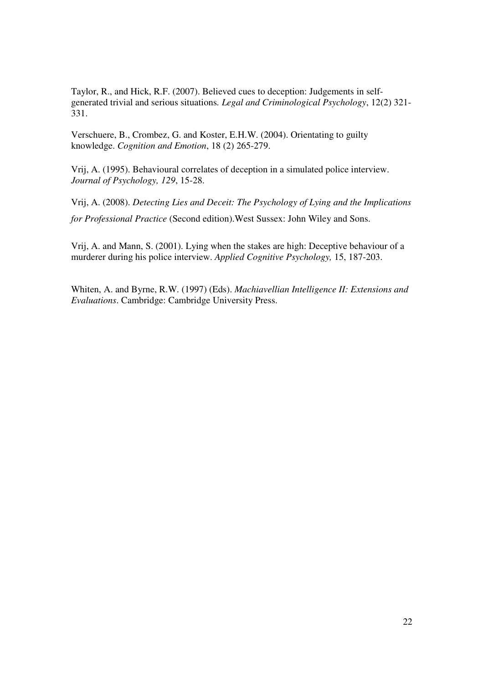Taylor, R., and Hick, R.F. (2007). Believed cues to deception: Judgements in selfgenerated trivial and serious situations*. Legal and Criminological Psychology*, 12(2) 321- 331.

Verschuere, B., Crombez, G. and Koster, E.H.W. (2004). Orientating to guilty knowledge. *Cognition and Emotion*, 18 (2) 265-279.

Vrij, A. (1995). Behavioural correlates of deception in a simulated police interview. *Journal of Psychology, 129*, 15-28.

Vrij, A. (2008). *Detecting Lies and Deceit: The Psychology of Lying and the Implications for Professional Practice* (Second edition).West Sussex: John Wiley and Sons.

Vrij, A. and Mann, S. (2001). Lying when the stakes are high: Deceptive behaviour of a murderer during his police interview. *Applied Cognitive Psychology,* 15, 187-203.

Whiten, A. and Byrne, R.W. (1997) (Eds). *Machiavellian Intelligence II: Extensions and Evaluations*. Cambridge: Cambridge University Press.